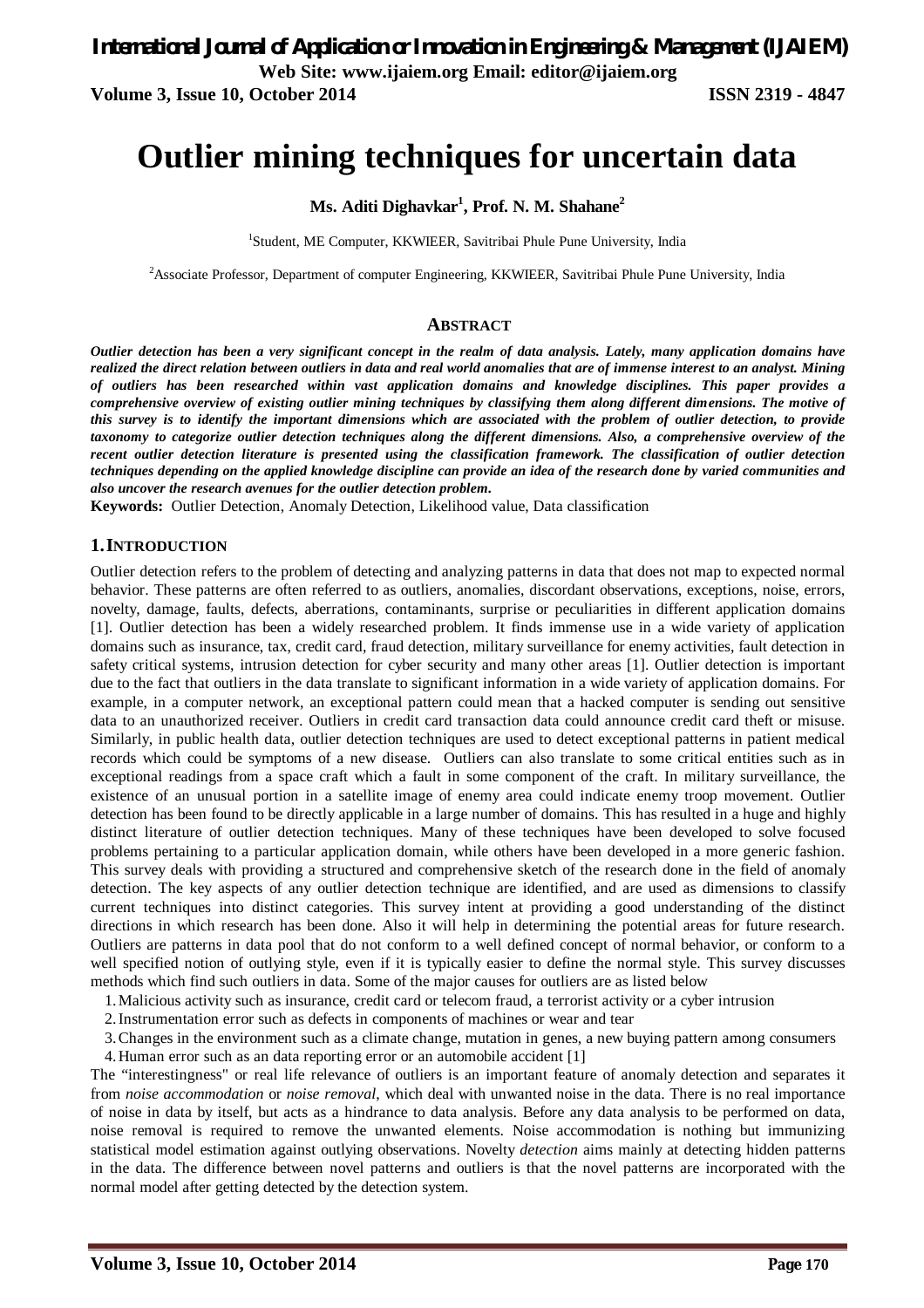**Volume 3, Issue 10, October 2014 ISSN 2319 - 4847**

# **Outlier mining techniques for uncertain data**

**Ms. Aditi Dighavkar<sup>1</sup> , Prof. N. M. Shahane<sup>2</sup>**

<sup>1</sup>Student, ME Computer, KKWIEER, Savitribai Phule Pune University, India

<sup>2</sup>Associate Professor, Department of computer Engineering, KKWIEER, Savitribai Phule Pune University, India

## **ABSTRACT**

*Outlier detection has been a very significant concept in the realm of data analysis. Lately, many application domains have realized the direct relation between outliers in data and real world anomalies that are of immense interest to an analyst. Mining of outliers has been researched within vast application domains and knowledge disciplines. This paper provides a comprehensive overview of existing outlier mining techniques by classifying them along different dimensions. The motive of this survey is to identify the important dimensions which are associated with the problem of outlier detection, to provide taxonomy to categorize outlier detection techniques along the different dimensions. Also, a comprehensive overview of the recent outlier detection literature is presented using the classification framework. The classification of outlier detection techniques depending on the applied knowledge discipline can provide an idea of the research done by varied communities and also uncover the research avenues for the outlier detection problem.* 

**Keywords:** Outlier Detection, Anomaly Detection, Likelihood value, Data classification

## **1.INTRODUCTION**

Outlier detection refers to the problem of detecting and analyzing patterns in data that does not map to expected normal behavior. These patterns are often referred to as outliers, anomalies, discordant observations, exceptions, noise, errors, novelty, damage, faults, defects, aberrations, contaminants, surprise or peculiarities in different application domains [1]. Outlier detection has been a widely researched problem. It finds immense use in a wide variety of application domains such as insurance, tax, credit card, fraud detection, military surveillance for enemy activities, fault detection in safety critical systems, intrusion detection for cyber security and many other areas [1]. Outlier detection is important due to the fact that outliers in the data translate to significant information in a wide variety of application domains. For example, in a computer network, an exceptional pattern could mean that a hacked computer is sending out sensitive data to an unauthorized receiver. Outliers in credit card transaction data could announce credit card theft or misuse. Similarly, in public health data, outlier detection techniques are used to detect exceptional patterns in patient medical records which could be symptoms of a new disease. Outliers can also translate to some critical entities such as in exceptional readings from a space craft which a fault in some component of the craft. In military surveillance, the existence of an unusual portion in a satellite image of enemy area could indicate enemy troop movement. Outlier detection has been found to be directly applicable in a large number of domains. This has resulted in a huge and highly distinct literature of outlier detection techniques. Many of these techniques have been developed to solve focused problems pertaining to a particular application domain, while others have been developed in a more generic fashion. This survey deals with providing a structured and comprehensive sketch of the research done in the field of anomaly detection. The key aspects of any outlier detection technique are identified, and are used as dimensions to classify current techniques into distinct categories. This survey intent at providing a good understanding of the distinct directions in which research has been done. Also it will help in determining the potential areas for future research. Outliers are patterns in data pool that do not conform to a well defined concept of normal behavior, or conform to a well specified notion of outlying style, even if it is typically easier to define the normal style. This survey discusses methods which find such outliers in data. Some of the major causes for outliers are as listed below

- 1.Malicious activity such as insurance, credit card or telecom fraud, a terrorist activity or a cyber intrusion
- 2.Instrumentation error such as defects in components of machines or wear and tear

3.Changes in the environment such as a climate change, mutation in genes, a new buying pattern among consumers

4.Human error such as an data reporting error or an automobile accident [1]

The "interestingness" or real life relevance of outliers is an important feature of anomaly detection and separates it from *noise accommodation* or *noise removal*, which deal with unwanted noise in the data. There is no real importance of noise in data by itself, but acts as a hindrance to data analysis. Before any data analysis to be performed on data, noise removal is required to remove the unwanted elements. Noise accommodation is nothing but immunizing statistical model estimation against outlying observations. Novelty *detection* aims mainly at detecting hidden patterns in the data. The difference between novel patterns and outliers is that the novel patterns are incorporated with the normal model after getting detected by the detection system.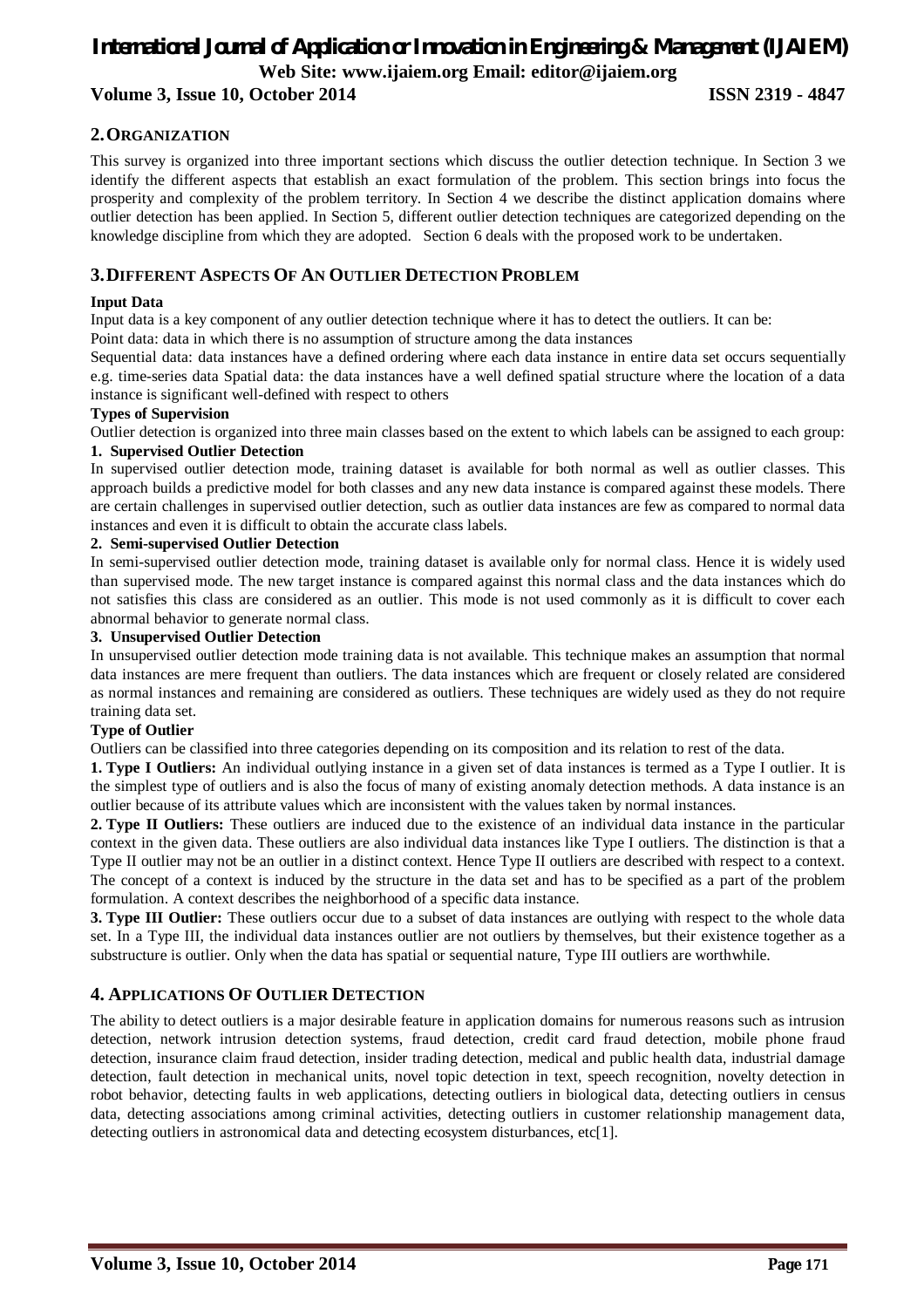## **2.ORGANIZATION**

This survey is organized into three important sections which discuss the outlier detection technique. In Section 3 we identify the different aspects that establish an exact formulation of the problem. This section brings into focus the prosperity and complexity of the problem territory. In Section 4 we describe the distinct application domains where outlier detection has been applied. In Section 5, different outlier detection techniques are categorized depending on the knowledge discipline from which they are adopted. Section 6 deals with the proposed work to be undertaken.

## **3.DIFFERENT ASPECTS OF AN OUTLIER DETECTION PROBLEM**

## **Input Data**

Input data is a key component of any outlier detection technique where it has to detect the outliers. It can be:

Point data: data in which there is no assumption of structure among the data instances

Sequential data: data instances have a defined ordering where each data instance in entire data set occurs sequentially e.g. time-series data Spatial data: the data instances have a well defined spatial structure where the location of a data instance is significant well-defined with respect to others

## **Types of Supervision**

Outlier detection is organized into three main classes based on the extent to which labels can be assigned to each group:

## **1. Supervised Outlier Detection**

In supervised outlier detection mode, training dataset is available for both normal as well as outlier classes. This approach builds a predictive model for both classes and any new data instance is compared against these models. There are certain challenges in supervised outlier detection, such as outlier data instances are few as compared to normal data instances and even it is difficult to obtain the accurate class labels.

## **2. Semi-supervised Outlier Detection**

In semi-supervised outlier detection mode, training dataset is available only for normal class. Hence it is widely used than supervised mode. The new target instance is compared against this normal class and the data instances which do not satisfies this class are considered as an outlier. This mode is not used commonly as it is difficult to cover each abnormal behavior to generate normal class.

## **3. Unsupervised Outlier Detection**

In unsupervised outlier detection mode training data is not available. This technique makes an assumption that normal data instances are mere frequent than outliers. The data instances which are frequent or closely related are considered as normal instances and remaining are considered as outliers. These techniques are widely used as they do not require training data set.

## **Type of Outlier**

Outliers can be classified into three categories depending on its composition and its relation to rest of the data.

**1. Type I Outliers:** An individual outlying instance in a given set of data instances is termed as a Type I outlier. It is the simplest type of outliers and is also the focus of many of existing anomaly detection methods. A data instance is an outlier because of its attribute values which are inconsistent with the values taken by normal instances.

**2. Type II Outliers:** These outliers are induced due to the existence of an individual data instance in the particular context in the given data. These outliers are also individual data instances like Type I outliers. The distinction is that a Type II outlier may not be an outlier in a distinct context. Hence Type II outliers are described with respect to a context. The concept of a context is induced by the structure in the data set and has to be specified as a part of the problem formulation. A context describes the neighborhood of a specific data instance.

**3. Type III Outlier:** These outliers occur due to a subset of data instances are outlying with respect to the whole data set. In a Type III, the individual data instances outlier are not outliers by themselves, but their existence together as a substructure is outlier. Only when the data has spatial or sequential nature, Type III outliers are worthwhile.

## **4. APPLICATIONS OF OUTLIER DETECTION**

The ability to detect outliers is a major desirable feature in application domains for numerous reasons such as intrusion detection, network intrusion detection systems, fraud detection, credit card fraud detection, mobile phone fraud detection, insurance claim fraud detection, insider trading detection, medical and public health data, industrial damage detection, fault detection in mechanical units, novel topic detection in text, speech recognition, novelty detection in robot behavior, detecting faults in web applications, detecting outliers in biological data, detecting outliers in census data, detecting associations among criminal activities, detecting outliers in customer relationship management data, detecting outliers in astronomical data and detecting ecosystem disturbances, etc[1].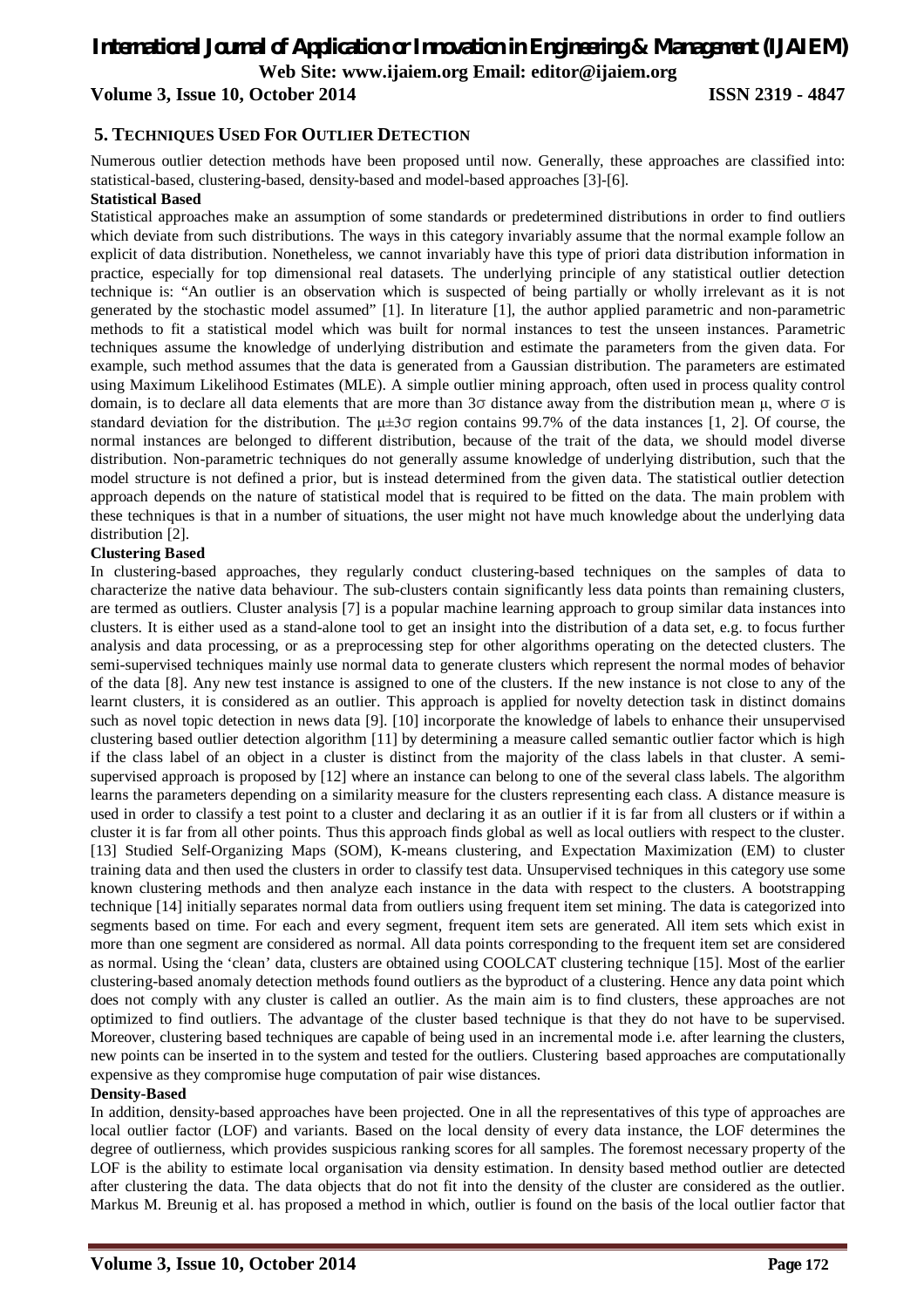## *International Journal of Application or Innovation in Engineering & Management (IJAIEM)* **Web Site: www.ijaiem.org Email: editor@ijaiem.org**

## **Volume 3, Issue 10, October 2014 ISSN 2319 - 4847**

## **5. TECHNIQUES USED FOR OUTLIER DETECTION**

Numerous outlier detection methods have been proposed until now. Generally, these approaches are classified into: statistical-based, clustering-based, density-based and model-based approaches [3]-[6].

#### **Statistical Based**

Statistical approaches make an assumption of some standards or predetermined distributions in order to find outliers which deviate from such distributions. The ways in this category invariably assume that the normal example follow an explicit of data distribution. Nonetheless, we cannot invariably have this type of priori data distribution information in practice, especially for top dimensional real datasets. The underlying principle of any statistical outlier detection technique is: "An outlier is an observation which is suspected of being partially or wholly irrelevant as it is not generated by the stochastic model assumed" [1]. In literature [1], the author applied parametric and non-parametric methods to fit a statistical model which was built for normal instances to test the unseen instances. Parametric techniques assume the knowledge of underlying distribution and estimate the parameters from the given data. For example, such method assumes that the data is generated from a Gaussian distribution. The parameters are estimated using Maximum Likelihood Estimates (MLE). A simple outlier mining approach, often used in process quality control domain, is to declare all data elements that are more than 3σ distance away from the distribution mean μ, where σ is standard deviation for the distribution. The  $\mu \pm 3\sigma$  region contains 99.7% of the data instances [1, 2]. Of course, the normal instances are belonged to different distribution, because of the trait of the data, we should model diverse distribution. Non-parametric techniques do not generally assume knowledge of underlying distribution, such that the model structure is not defined a prior, but is instead determined from the given data. The statistical outlier detection approach depends on the nature of statistical model that is required to be fitted on the data. The main problem with these techniques is that in a number of situations, the user might not have much knowledge about the underlying data distribution [2].

## **Clustering Based**

In clustering-based approaches, they regularly conduct clustering-based techniques on the samples of data to characterize the native data behaviour. The sub-clusters contain significantly less data points than remaining clusters, are termed as outliers. Cluster analysis [7] is a popular machine learning approach to group similar data instances into clusters. It is either used as a stand-alone tool to get an insight into the distribution of a data set, e.g. to focus further analysis and data processing, or as a preprocessing step for other algorithms operating on the detected clusters. The semi-supervised techniques mainly use normal data to generate clusters which represent the normal modes of behavior of the data [8]. Any new test instance is assigned to one of the clusters. If the new instance is not close to any of the learnt clusters, it is considered as an outlier. This approach is applied for novelty detection task in distinct domains such as novel topic detection in news data [9]. [10] incorporate the knowledge of labels to enhance their unsupervised clustering based outlier detection algorithm [11] by determining a measure called semantic outlier factor which is high if the class label of an object in a cluster is distinct from the majority of the class labels in that cluster. A semisupervised approach is proposed by [12] where an instance can belong to one of the several class labels. The algorithm learns the parameters depending on a similarity measure for the clusters representing each class. A distance measure is used in order to classify a test point to a cluster and declaring it as an outlier if it is far from all clusters or if within a cluster it is far from all other points. Thus this approach finds global as well as local outliers with respect to the cluster. [13] Studied Self-Organizing Maps (SOM), K-means clustering, and Expectation Maximization (EM) to cluster training data and then used the clusters in order to classify test data. Unsupervised techniques in this category use some known clustering methods and then analyze each instance in the data with respect to the clusters. A bootstrapping technique [14] initially separates normal data from outliers using frequent item set mining. The data is categorized into segments based on time. For each and every segment, frequent item sets are generated. All item sets which exist in more than one segment are considered as normal. All data points corresponding to the frequent item set are considered as normal. Using the 'clean' data, clusters are obtained using COOLCAT clustering technique [15]. Most of the earlier clustering-based anomaly detection methods found outliers as the byproduct of a clustering. Hence any data point which does not comply with any cluster is called an outlier. As the main aim is to find clusters, these approaches are not optimized to find outliers. The advantage of the cluster based technique is that they do not have to be supervised. Moreover, clustering based techniques are capable of being used in an incremental mode i.e. after learning the clusters, new points can be inserted in to the system and tested for the outliers. Clustering based approaches are computationally expensive as they compromise huge computation of pair wise distances.

## **Density-Based**

In addition, density-based approaches have been projected. One in all the representatives of this type of approaches are local outlier factor (LOF) and variants. Based on the local density of every data instance, the LOF determines the degree of outlierness, which provides suspicious ranking scores for all samples. The foremost necessary property of the LOF is the ability to estimate local organisation via density estimation. In density based method outlier are detected after clustering the data. The data objects that do not fit into the density of the cluster are considered as the outlier. Markus M. Breunig et al. has proposed a method in which, outlier is found on the basis of the local outlier factor that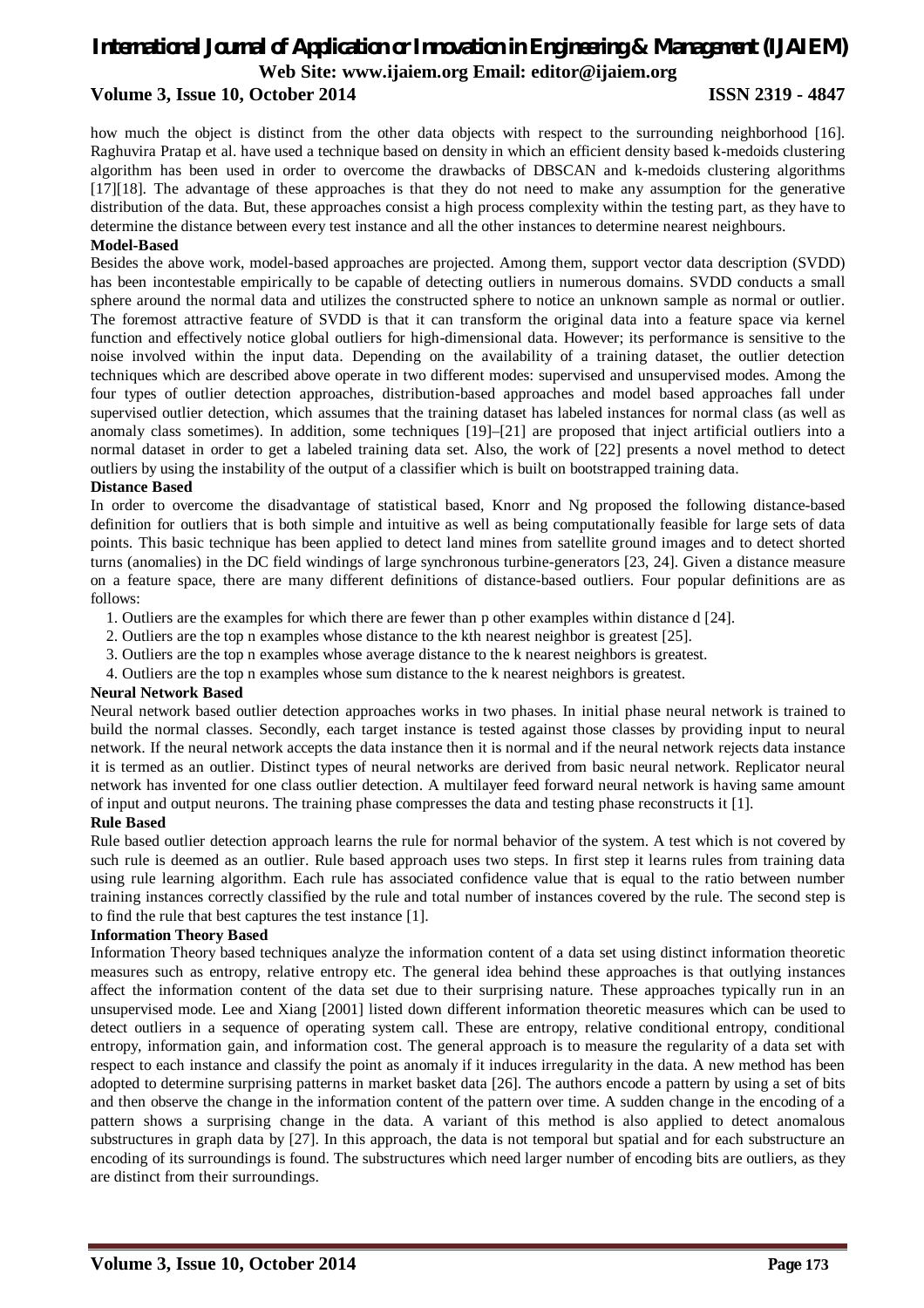how much the object is distinct from the other data objects with respect to the surrounding neighborhood [16]. Raghuvira Pratap et al. have used a technique based on density in which an efficient density based k-medoids clustering algorithm has been used in order to overcome the drawbacks of DBSCAN and k-medoids clustering algorithms [17][18]. The advantage of these approaches is that they do not need to make any assumption for the generative distribution of the data. But, these approaches consist a high process complexity within the testing part, as they have to determine the distance between every test instance and all the other instances to determine nearest neighbours.

## **Model-Based**

Besides the above work, model-based approaches are projected. Among them, support vector data description (SVDD) has been incontestable empirically to be capable of detecting outliers in numerous domains. SVDD conducts a small sphere around the normal data and utilizes the constructed sphere to notice an unknown sample as normal or outlier. The foremost attractive feature of SVDD is that it can transform the original data into a feature space via kernel function and effectively notice global outliers for high-dimensional data. However; its performance is sensitive to the noise involved within the input data. Depending on the availability of a training dataset, the outlier detection techniques which are described above operate in two different modes: supervised and unsupervised modes. Among the four types of outlier detection approaches, distribution-based approaches and model based approaches fall under supervised outlier detection, which assumes that the training dataset has labeled instances for normal class (as well as anomaly class sometimes). In addition, some techniques [19]–[21] are proposed that inject artificial outliers into a normal dataset in order to get a labeled training data set. Also, the work of [22] presents a novel method to detect outliers by using the instability of the output of a classifier which is built on bootstrapped training data.

## **Distance Based**

In order to overcome the disadvantage of statistical based, Knorr and Ng proposed the following distance-based definition for outliers that is both simple and intuitive as well as being computationally feasible for large sets of data points. This basic technique has been applied to detect land mines from satellite ground images and to detect shorted turns (anomalies) in the DC field windings of large synchronous turbine-generators [23, 24]. Given a distance measure on a feature space, there are many different definitions of distance-based outliers. Four popular definitions are as follows:

- 1. Outliers are the examples for which there are fewer than p other examples within distance d [24].
- 2. Outliers are the top n examples whose distance to the kth nearest neighbor is greatest [25].
- 3. Outliers are the top n examples whose average distance to the k nearest neighbors is greatest.
- 4. Outliers are the top n examples whose sum distance to the k nearest neighbors is greatest.

## **Neural Network Based**

Neural network based outlier detection approaches works in two phases. In initial phase neural network is trained to build the normal classes. Secondly, each target instance is tested against those classes by providing input to neural network. If the neural network accepts the data instance then it is normal and if the neural network rejects data instance it is termed as an outlier. Distinct types of neural networks are derived from basic neural network. Replicator neural network has invented for one class outlier detection. A multilayer feed forward neural network is having same amount of input and output neurons. The training phase compresses the data and testing phase reconstructs it [1].

## **Rule Based**

Rule based outlier detection approach learns the rule for normal behavior of the system. A test which is not covered by such rule is deemed as an outlier. Rule based approach uses two steps. In first step it learns rules from training data using rule learning algorithm. Each rule has associated confidence value that is equal to the ratio between number training instances correctly classified by the rule and total number of instances covered by the rule. The second step is to find the rule that best captures the test instance [1].

## **Information Theory Based**

Information Theory based techniques analyze the information content of a data set using distinct information theoretic measures such as entropy, relative entropy etc. The general idea behind these approaches is that outlying instances affect the information content of the data set due to their surprising nature. These approaches typically run in an unsupervised mode. Lee and Xiang [2001] listed down different information theoretic measures which can be used to detect outliers in a sequence of operating system call. These are entropy, relative conditional entropy, conditional entropy, information gain, and information cost. The general approach is to measure the regularity of a data set with respect to each instance and classify the point as anomaly if it induces irregularity in the data. A new method has been adopted to determine surprising patterns in market basket data [26]. The authors encode a pattern by using a set of bits and then observe the change in the information content of the pattern over time. A sudden change in the encoding of a pattern shows a surprising change in the data. A variant of this method is also applied to detect anomalous substructures in graph data by [27]. In this approach, the data is not temporal but spatial and for each substructure an encoding of its surroundings is found. The substructures which need larger number of encoding bits are outliers, as they are distinct from their surroundings.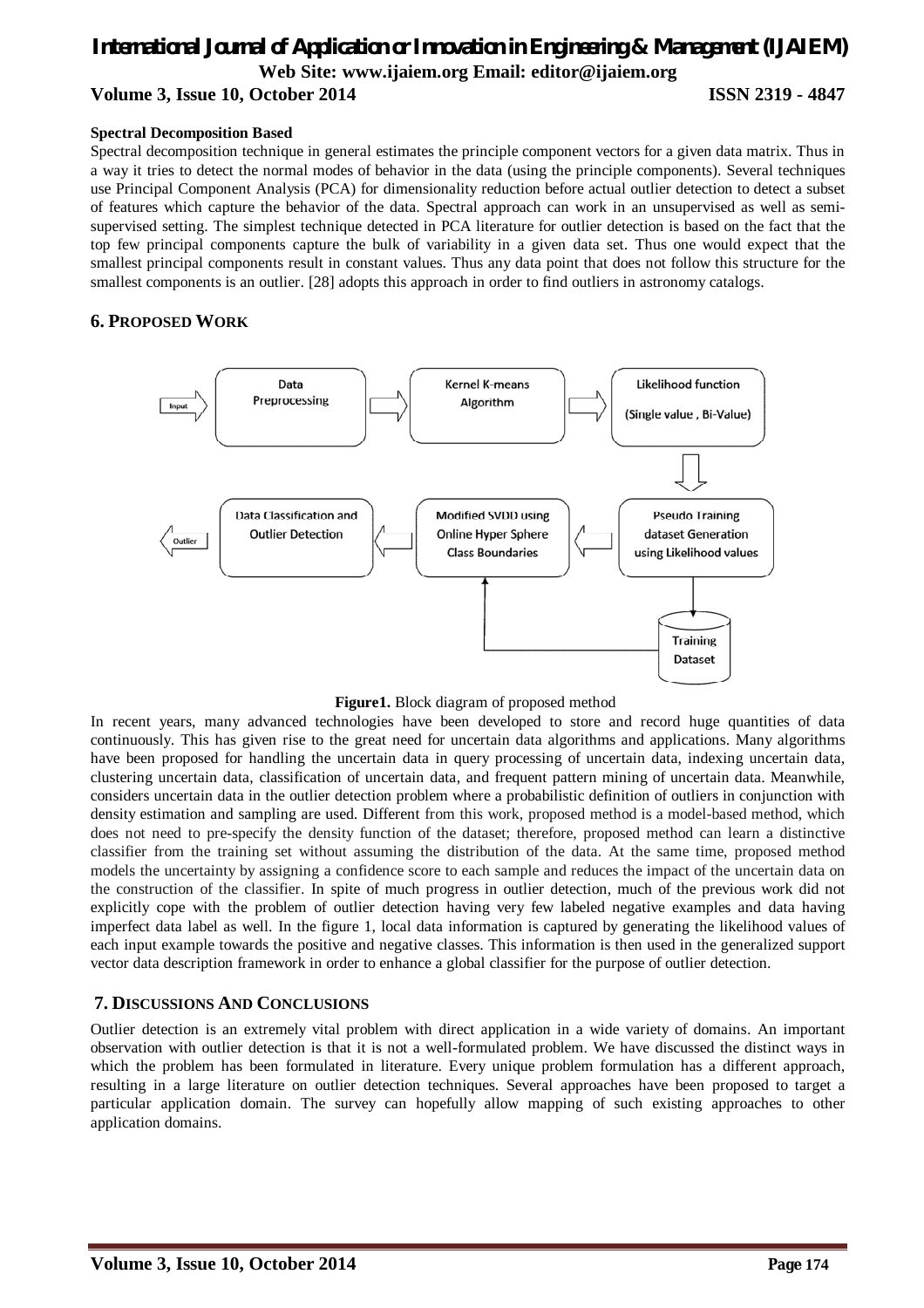## **Spectral Decomposition Based**

Spectral decomposition technique in general estimates the principle component vectors for a given data matrix. Thus in a way it tries to detect the normal modes of behavior in the data (using the principle components). Several techniques use Principal Component Analysis (PCA) for dimensionality reduction before actual outlier detection to detect a subset of features which capture the behavior of the data. Spectral approach can work in an unsupervised as well as semisupervised setting. The simplest technique detected in PCA literature for outlier detection is based on the fact that the top few principal components capture the bulk of variability in a given data set. Thus one would expect that the smallest principal components result in constant values. Thus any data point that does not follow this structure for the smallest components is an outlier. [28] adopts this approach in order to find outliers in astronomy catalogs.

## **6. PROPOSED WORK**



**Figure1.** Block diagram of proposed method

In recent years, many advanced technologies have been developed to store and record huge quantities of data continuously. This has given rise to the great need for uncertain data algorithms and applications. Many algorithms have been proposed for handling the uncertain data in query processing of uncertain data, indexing uncertain data, clustering uncertain data, classification of uncertain data, and frequent pattern mining of uncertain data. Meanwhile, considers uncertain data in the outlier detection problem where a probabilistic definition of outliers in conjunction with density estimation and sampling are used. Different from this work, proposed method is a model-based method, which does not need to pre-specify the density function of the dataset; therefore, proposed method can learn a distinctive classifier from the training set without assuming the distribution of the data. At the same time, proposed method models the uncertainty by assigning a confidence score to each sample and reduces the impact of the uncertain data on the construction of the classifier. In spite of much progress in outlier detection, much of the previous work did not explicitly cope with the problem of outlier detection having very few labeled negative examples and data having imperfect data label as well. In the figure 1, local data information is captured by generating the likelihood values of each input example towards the positive and negative classes. This information is then used in the generalized support vector data description framework in order to enhance a global classifier for the purpose of outlier detection.

## **7. DISCUSSIONS AND CONCLUSIONS**

Outlier detection is an extremely vital problem with direct application in a wide variety of domains. An important observation with outlier detection is that it is not a well-formulated problem. We have discussed the distinct ways in which the problem has been formulated in literature. Every unique problem formulation has a different approach, resulting in a large literature on outlier detection techniques. Several approaches have been proposed to target a particular application domain. The survey can hopefully allow mapping of such existing approaches to other application domains.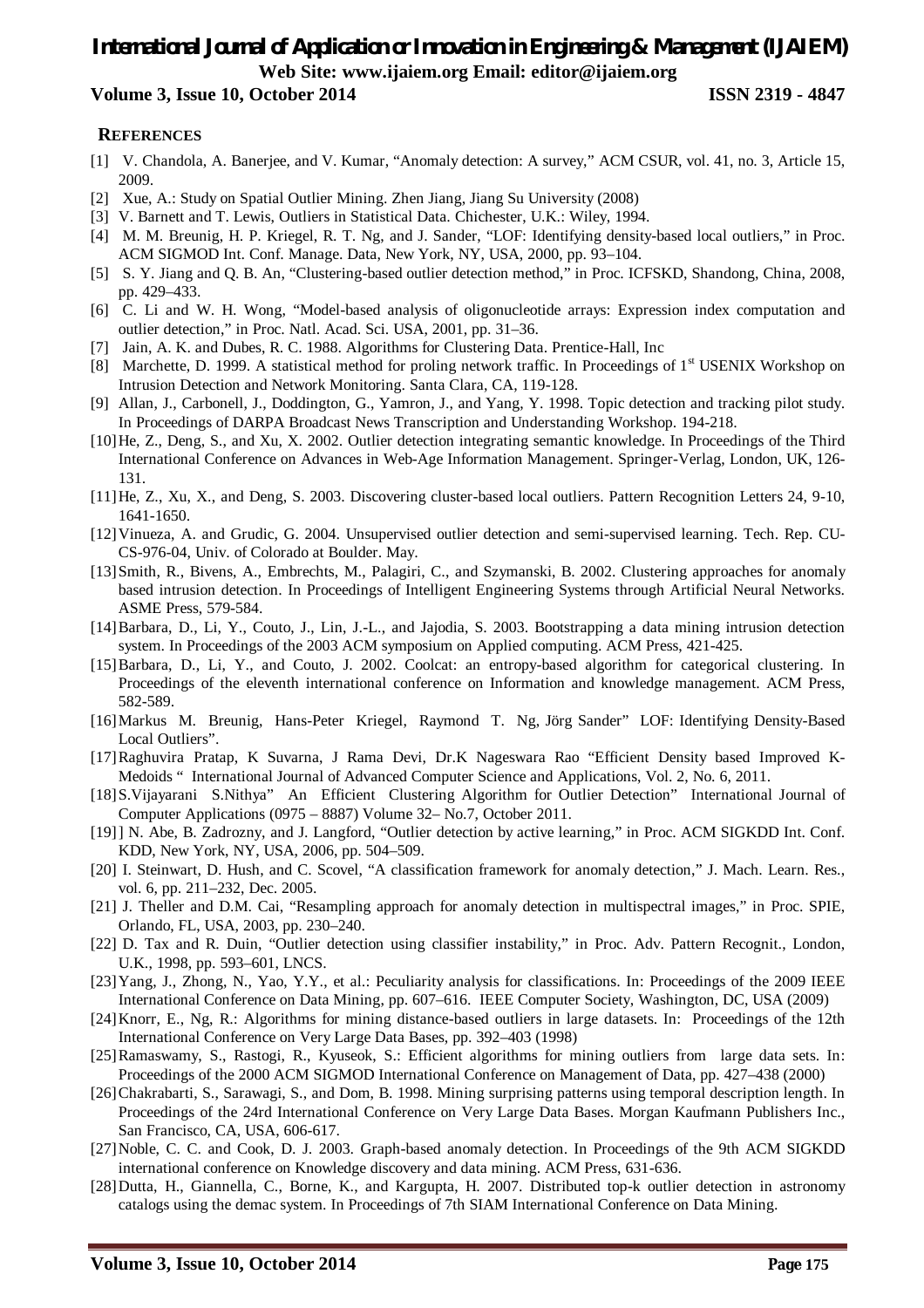## *International Journal of Application or Innovation in Engineering & Management (IJAIEM)* **Web Site: www.ijaiem.org Email: editor@ijaiem.org**

## **Volume 3, Issue 10, October 2014 ISSN 2319 - 4847**

## **REFERENCES**

- [1] V. Chandola, A. Banerjee, and V. Kumar, "Anomaly detection: A survey," ACM CSUR, vol. 41, no. 3, Article 15, 2009.
- [2] Xue, A.: Study on Spatial Outlier Mining. Zhen Jiang, Jiang Su University (2008)
- [3] V. Barnett and T. Lewis, Outliers in Statistical Data. Chichester, U.K.: Wiley, 1994.
- [4] M. M. Breunig, H. P. Kriegel, R. T. Ng, and J. Sander, "LOF: Identifying density-based local outliers," in Proc. ACM SIGMOD Int. Conf. Manage. Data, New York, NY, USA, 2000, pp. 93–104.
- [5] S. Y. Jiang and Q. B. An, "Clustering-based outlier detection method," in Proc. ICFSKD, Shandong, China, 2008, pp. 429–433.
- [6] C. Li and W. H. Wong, "Model-based analysis of oligonucleotide arrays: Expression index computation and outlier detection," in Proc. Natl. Acad. Sci. USA, 2001, pp. 31–36.
- [7] Jain, A. K. and Dubes, R. C. 1988. Algorithms for Clustering Data. Prentice-Hall, Inc
- [8] Marchette, D. 1999. A statistical method for proling network traffic. In Proceedings of 1<sup>st</sup> USENIX Workshop on Intrusion Detection and Network Monitoring. Santa Clara, CA, 119-128.
- [9] Allan, J., Carbonell, J., Doddington, G., Yamron, J., and Yang, Y. 1998. Topic detection and tracking pilot study. In Proceedings of DARPA Broadcast News Transcription and Understanding Workshop. 194-218.
- [10]He, Z., Deng, S., and Xu, X. 2002. Outlier detection integrating semantic knowledge. In Proceedings of the Third International Conference on Advances in Web-Age Information Management. Springer-Verlag, London, UK, 126- 131.
- [11]He, Z., Xu, X., and Deng, S. 2003. Discovering cluster-based local outliers. Pattern Recognition Letters 24, 9-10, 1641-1650.
- [12]Vinueza, A. and Grudic, G. 2004. Unsupervised outlier detection and semi-supervised learning. Tech. Rep. CU-CS-976-04, Univ. of Colorado at Boulder. May.
- [13]Smith, R., Bivens, A., Embrechts, M., Palagiri, C., and Szymanski, B. 2002. Clustering approaches for anomaly based intrusion detection. In Proceedings of Intelligent Engineering Systems through Artificial Neural Networks. ASME Press, 579-584.
- [14]Barbara, D., Li, Y., Couto, J., Lin, J.-L., and Jajodia, S. 2003. Bootstrapping a data mining intrusion detection system. In Proceedings of the 2003 ACM symposium on Applied computing. ACM Press, 421-425.
- [15]Barbara, D., Li, Y., and Couto, J. 2002. Coolcat: an entropy-based algorithm for categorical clustering. In Proceedings of the eleventh international conference on Information and knowledge management. ACM Press, 582-589.
- [16]Markus M. Breunig, Hans-Peter Kriegel, Raymond T. Ng, Jörg Sander" LOF: Identifying Density-Based Local Outliers".
- [17]Raghuvira Pratap, K Suvarna, J Rama Devi, Dr.K Nageswara Rao "Efficient Density based Improved K-Medoids " International Journal of Advanced Computer Science and Applications, Vol. 2, No. 6, 2011.
- [18]S.Vijayarani S.Nithya" An Efficient Clustering Algorithm for Outlier Detection" International Journal of Computer Applications (0975 – 8887) Volume 32– No.7, October 2011.
- [19]] N. Abe, B. Zadrozny, and J. Langford, "Outlier detection by active learning," in Proc. ACM SIGKDD Int. Conf. KDD, New York, NY, USA, 2006, pp. 504–509.
- [20] I. Steinwart, D. Hush, and C. Scovel, "A classification framework for anomaly detection," J. Mach. Learn. Res., vol. 6, pp. 211–232, Dec. 2005.
- [21] J. Theller and D.M. Cai, "Resampling approach for anomaly detection in multispectral images," in Proc. SPIE, Orlando, FL, USA, 2003, pp. 230–240.
- [22] D. Tax and R. Duin, "Outlier detection using classifier instability," in Proc. Adv. Pattern Recognit., London, U.K., 1998, pp. 593–601, LNCS.
- [23]Yang, J., Zhong, N., Yao, Y.Y., et al.: Peculiarity analysis for classifications. In: Proceedings of the 2009 IEEE International Conference on Data Mining, pp. 607–616. IEEE Computer Society, Washington, DC, USA (2009)
- [24]Knorr, E., Ng, R.: Algorithms for mining distance-based outliers in large datasets. In: Proceedings of the 12th International Conference on Very Large Data Bases, pp. 392–403 (1998)
- [25]Ramaswamy, S., Rastogi, R., Kyuseok, S.: Efficient algorithms for mining outliers from large data sets. In: Proceedings of the 2000 ACM SIGMOD International Conference on Management of Data, pp. 427–438 (2000)
- [26]Chakrabarti, S., Sarawagi, S., and Dom, B. 1998. Mining surprising patterns using temporal description length. In Proceedings of the 24rd International Conference on Very Large Data Bases. Morgan Kaufmann Publishers Inc., San Francisco, CA, USA, 606-617.
- [27]Noble, C. C. and Cook, D. J. 2003. Graph-based anomaly detection. In Proceedings of the 9th ACM SIGKDD international conference on Knowledge discovery and data mining. ACM Press, 631-636.
- [28]Dutta, H., Giannella, C., Borne, K., and Kargupta, H. 2007. Distributed top-k outlier detection in astronomy catalogs using the demac system. In Proceedings of 7th SIAM International Conference on Data Mining.